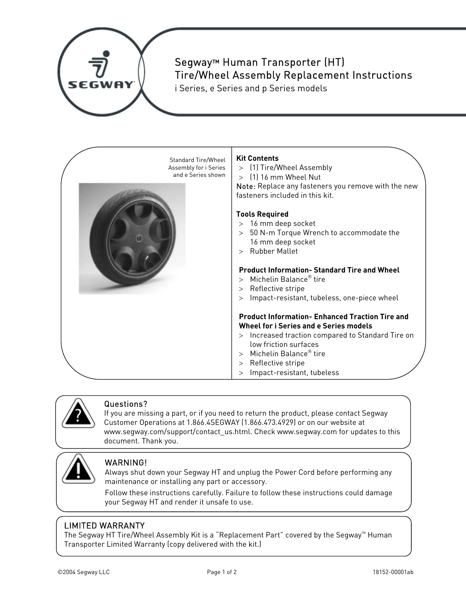

# Segway™ Human Transporter (HT) Tire/Wheel Assembly Replacement Instructions

i Series, e Series and p Series models





### Questions?

If you are missing a part, or if you need to return the product, please contact Segway Customer Operations at 1.866.4SEGWAY (1.866.473.4929) or on our website at www.segway.com/support/contact\_us.html. Check www.segway.com for updates to this document. Thank you.



### WARNING!

Always shut down your Segway HT and unplug the Power Cord before performing any maintenance or installing any part or accessory.

Follow these instructions carefully. Failure to follow these instructions could damage your Segway HT and render it unsafe to use.

### LIMITED WARRANTY

The Segway HT Tire/Wheel Assembly Kit is a "Replacement Part" covered by the Segway $M$  Human Transporter Limited Warranty (copy delivered with the kit.)